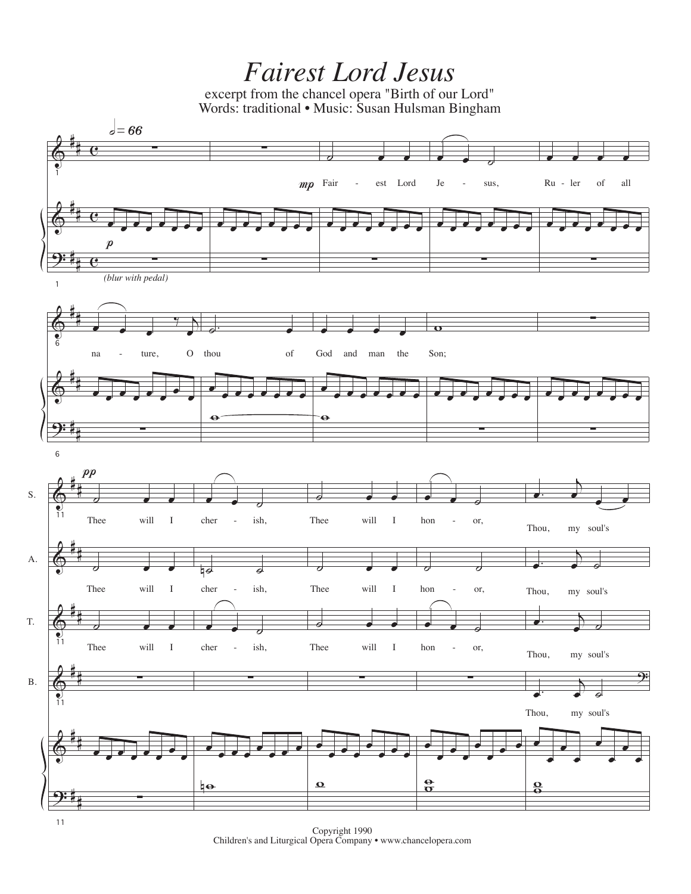## *Fairest Lord Jesus*

excerpt from the chancel opera "Birth of our Lord" Words: traditional • Music: Susan Hulsman Bingham



Copyright 1990 Children's and Liturgical Opera Company • www.chancelopera.com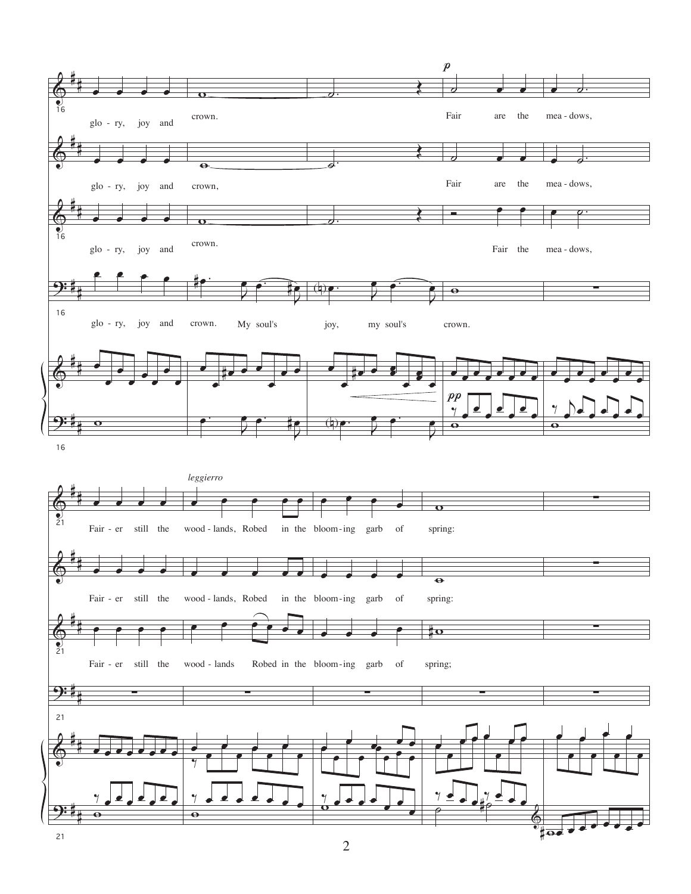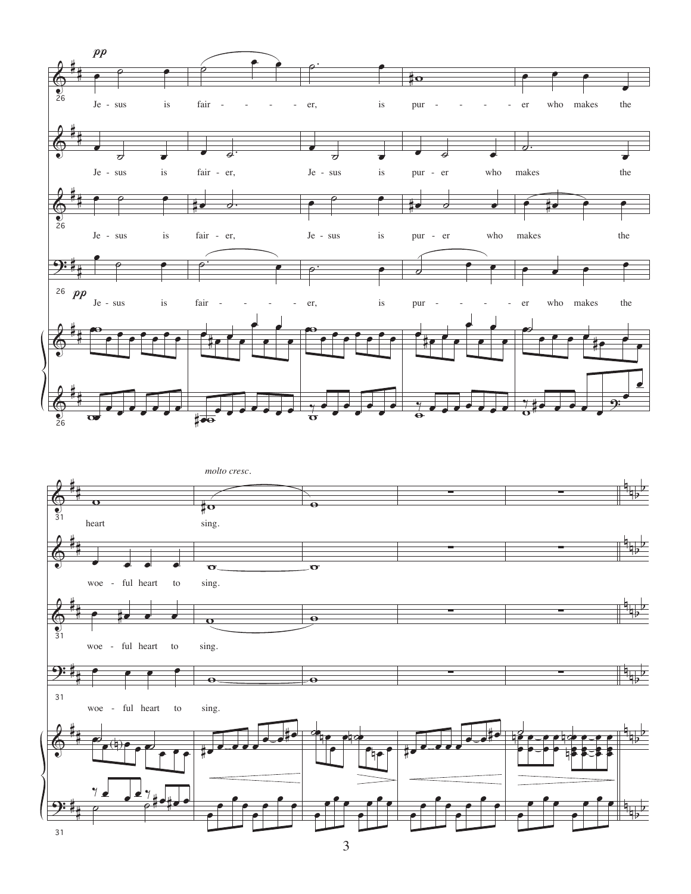

3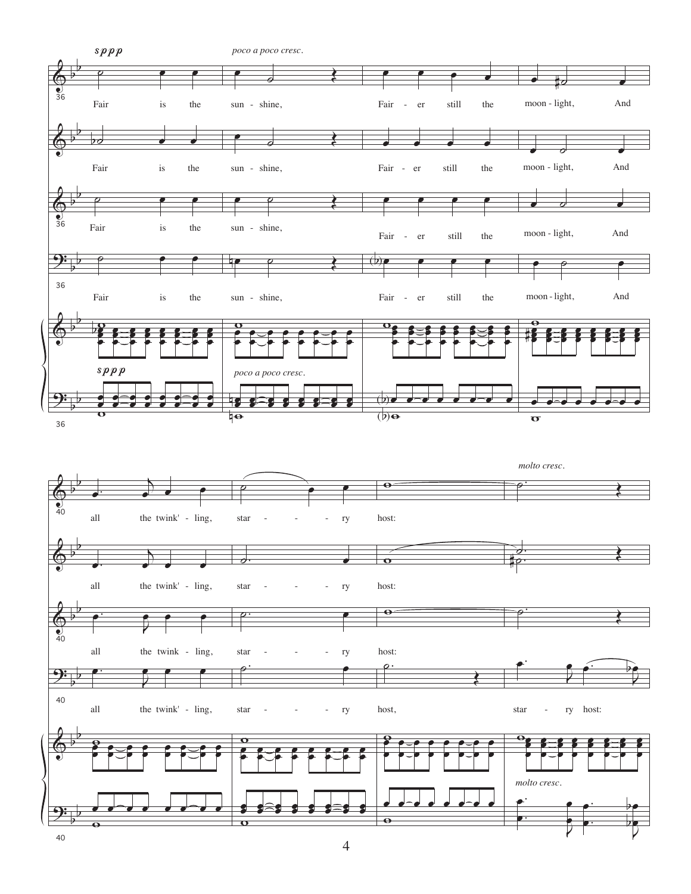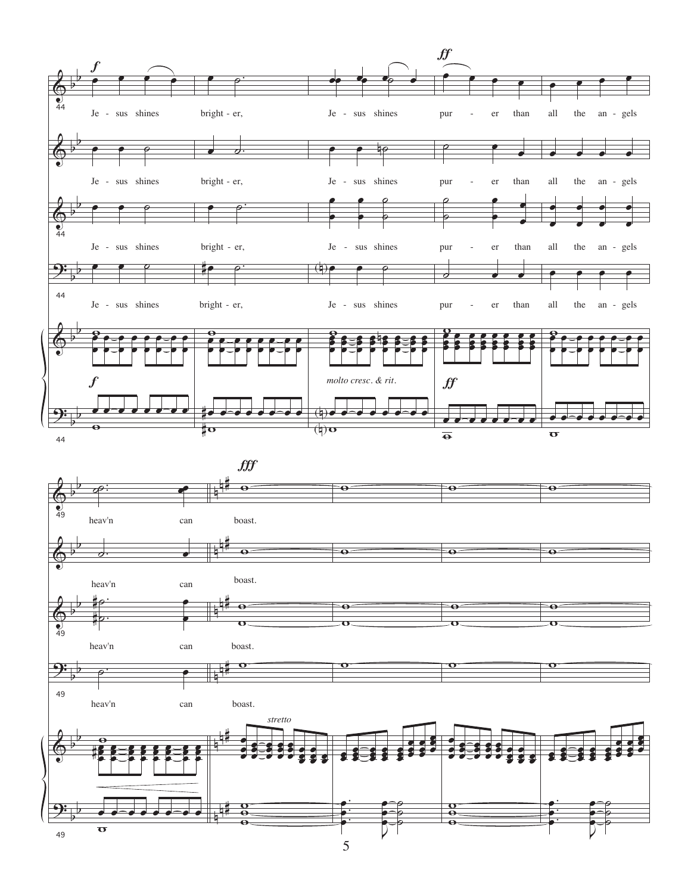